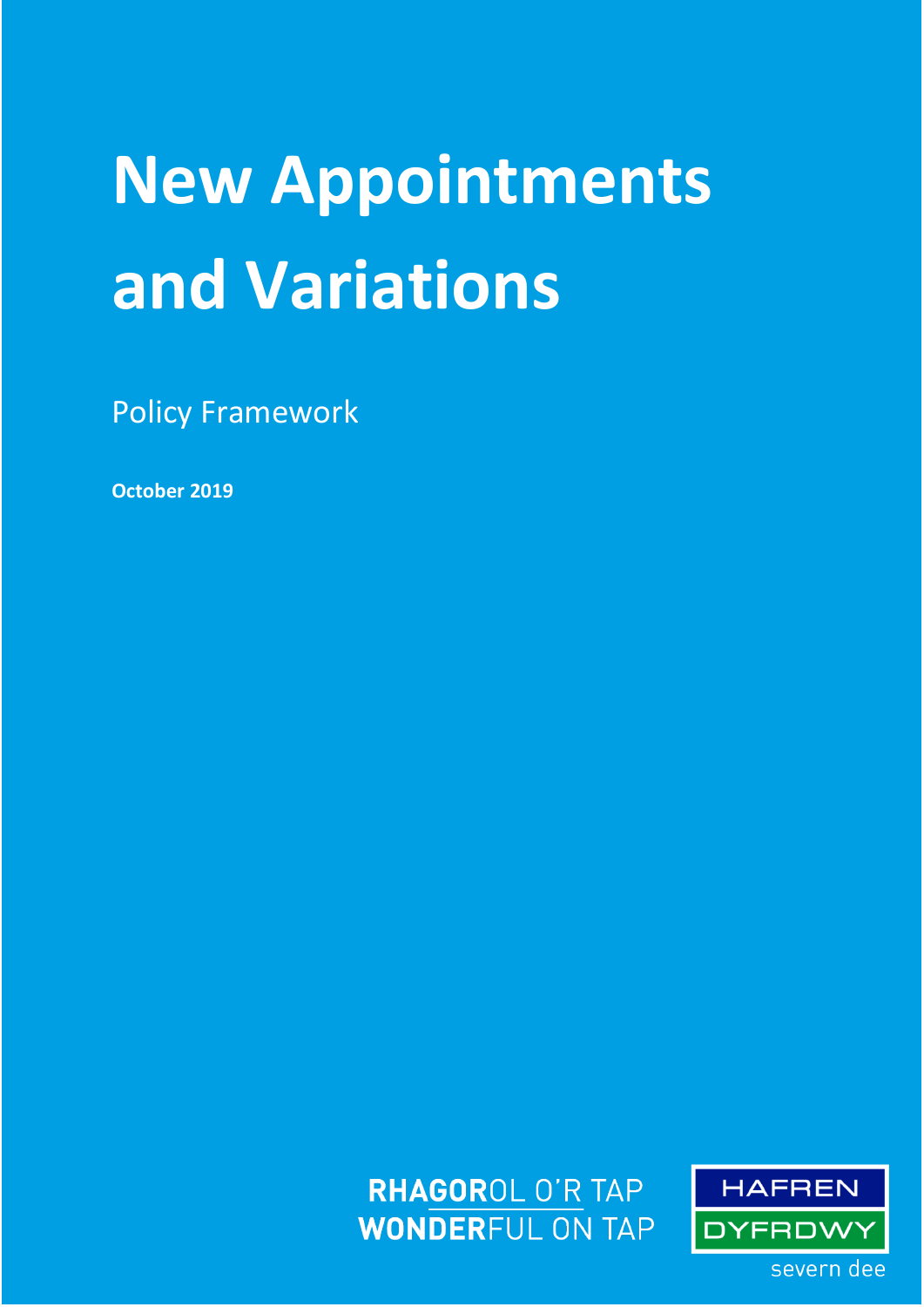# **New Appointments and Variations**

Policy Framework

**October 2019**

**RHAGOROL O'R TAP WONDERFUL ON TAP** 

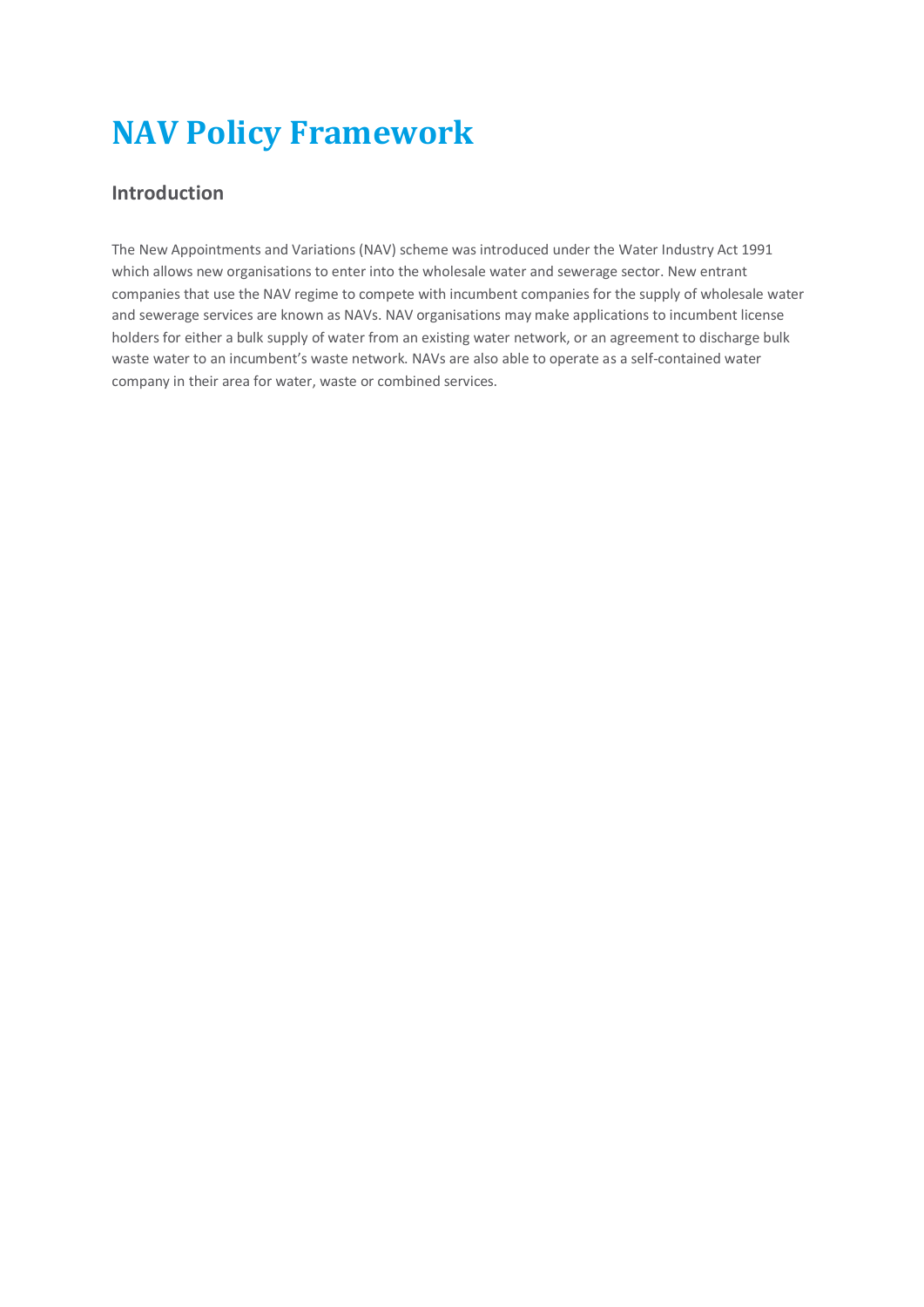# **NAV Policy Framework**

#### **Introduction**

The New Appointments and Variations (NAV) scheme was introduced under the Water Industry Act 1991 which allows new organisations to enter into the wholesale water and sewerage sector. New entrant companies that use the NAV regime to compete with incumbent companies for the supply of wholesale water and sewerage services are known as NAVs. NAV organisations may make applications to incumbent license holders for either a bulk supply of water from an existing water network, or an agreement to discharge bulk waste water to an incumbent's waste network. NAVs are also able to operate as a self-contained water company in their area for water, waste or combined services.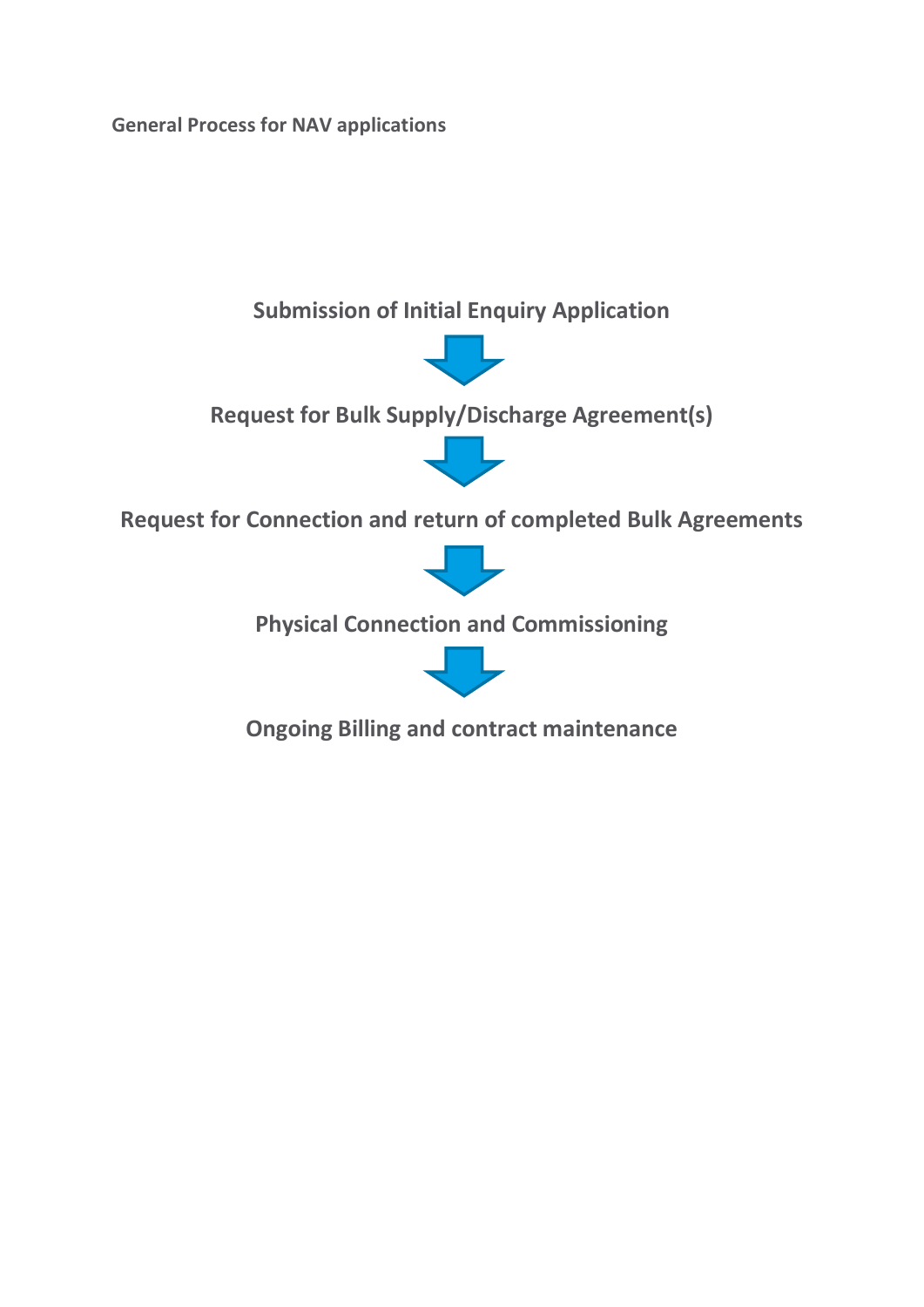**General Process for NAV applications**



**Ongoing Billing and contract maintenance**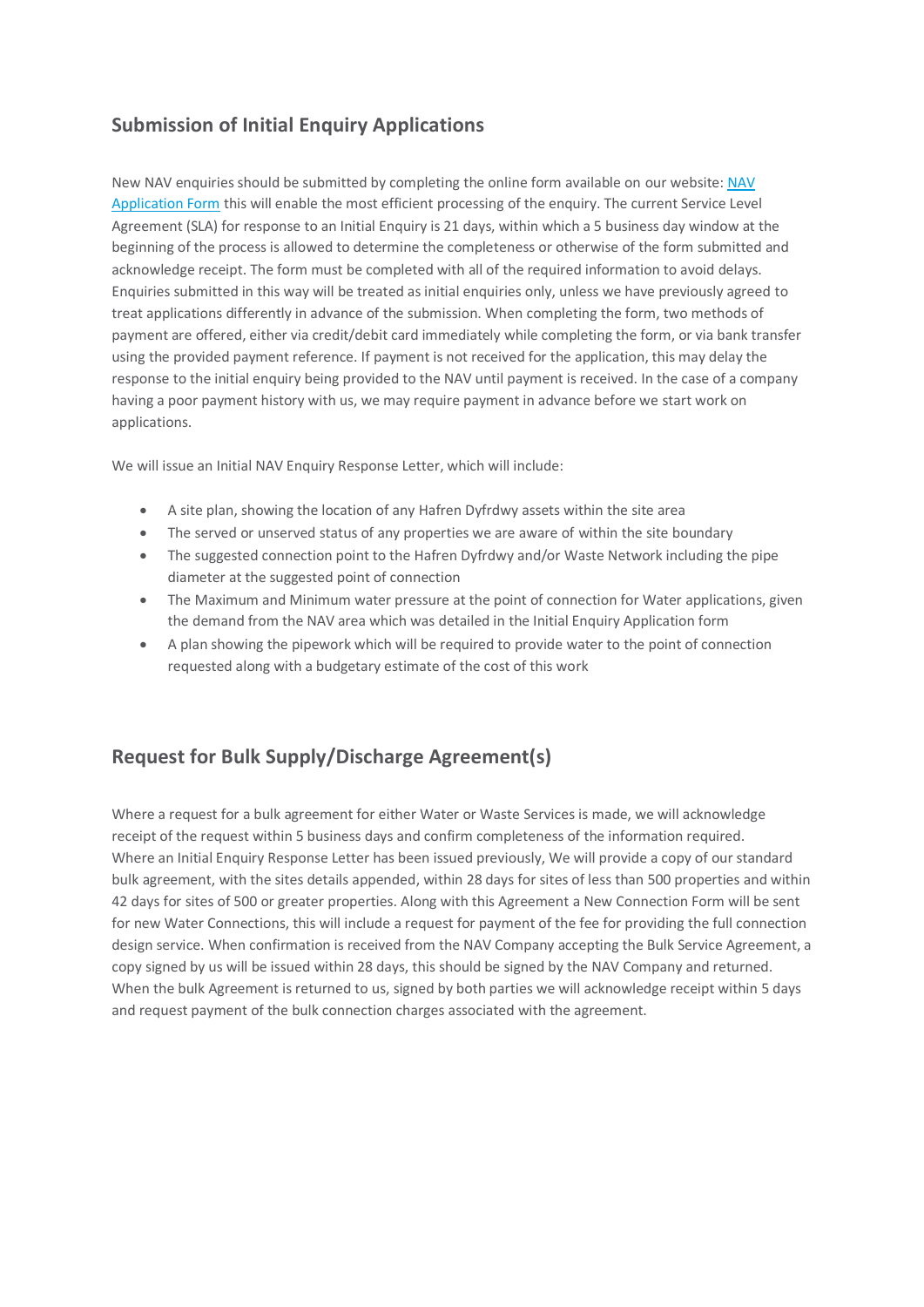## **Submission of Initial Enquiry Applications**

New NAV enquiries should be submitted by completing the online form available on our website: [NAV](https://www.stwater.co.uk/building-and-developing/regulations-and-forms/application-forms-and-guidance/new-appointments-and-variation-application/)  [Application Form](https://www.stwater.co.uk/building-and-developing/regulations-and-forms/application-forms-and-guidance/new-appointments-and-variation-application/) this will enable the most efficient processing of the enquiry. The current Service Level Agreement (SLA) for response to an Initial Enquiry is 21 days, within which a 5 business day window at the beginning of the process is allowed to determine the completeness or otherwise of the form submitted and acknowledge receipt. The form must be completed with all of the required information to avoid delays. Enquiries submitted in this way will be treated as initial enquiries only, unless we have previously agreed to treat applications differently in advance of the submission. When completing the form, two methods of payment are offered, either via credit/debit card immediately while completing the form, or via bank transfer using the provided payment reference. If payment is not received for the application, this may delay the response to the initial enquiry being provided to the NAV until payment is received. In the case of a company having a poor payment history with us, we may require payment in advance before we start work on applications.

We will issue an Initial NAV Enquiry Response Letter, which will include:

- A site plan, showing the location of any Hafren Dyfrdwy assets within the site area
- The served or unserved status of any properties we are aware of within the site boundary
- The suggested connection point to the Hafren Dyfrdwy and/or Waste Network including the pipe diameter at the suggested point of connection
- The Maximum and Minimum water pressure at the point of connection for Water applications, given the demand from the NAV area which was detailed in the Initial Enquiry Application form
- A plan showing the pipework which will be required to provide water to the point of connection requested along with a budgetary estimate of the cost of this work

### **Request for Bulk Supply/Discharge Agreement(s)**

Where a request for a bulk agreement for either Water or Waste Services is made, we will acknowledge receipt of the request within 5 business days and confirm completeness of the information required. Where an Initial Enquiry Response Letter has been issued previously, We will provide a copy of our standard bulk agreement, with the sites details appended, within 28 days for sites of less than 500 properties and within 42 days for sites of 500 or greater properties. Along with this Agreement a New Connection Form will be sent for new Water Connections, this will include a request for payment of the fee for providing the full connection design service. When confirmation is received from the NAV Company accepting the Bulk Service Agreement, a copy signed by us will be issued within 28 days, this should be signed by the NAV Company and returned. When the bulk Agreement is returned to us, signed by both parties we will acknowledge receipt within 5 days and request payment of the bulk connection charges associated with the agreement.